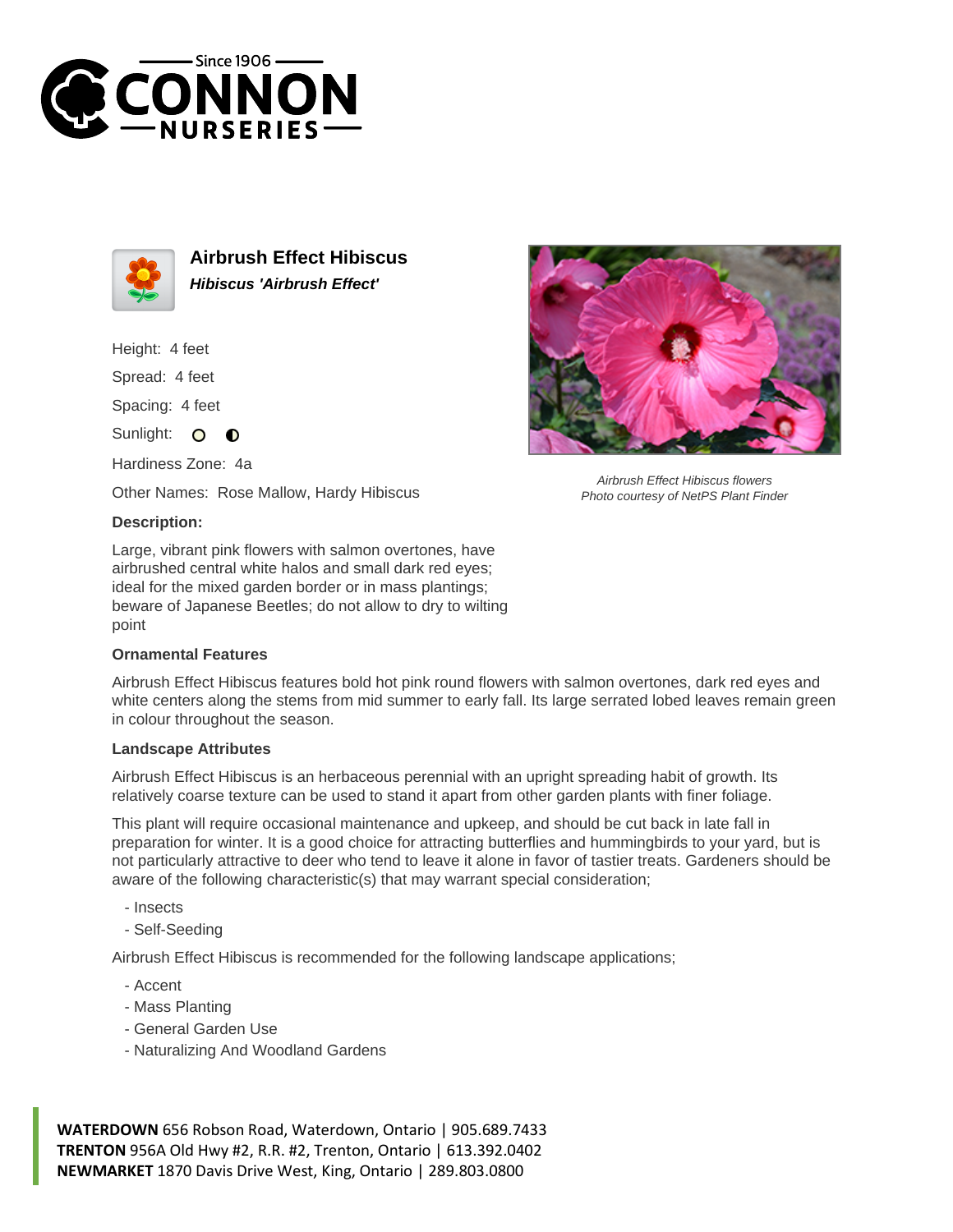



**Airbrush Effect Hibiscus Hibiscus 'Airbrush Effect'**

Height: 4 feet

Spread: 4 feet

Spacing: 4 feet

Sunlight: O ∩

Hardiness Zone: 4a

Other Names: Rose Mallow, Hardy Hibiscus

## **Description:**

Large, vibrant pink flowers with salmon overtones, have airbrushed central white halos and small dark red eyes; ideal for the mixed garden border or in mass plantings; beware of Japanese Beetles; do not allow to dry to wilting point

## **Ornamental Features**

Airbrush Effect Hibiscus features bold hot pink round flowers with salmon overtones, dark red eyes and white centers along the stems from mid summer to early fall. Its large serrated lobed leaves remain green in colour throughout the season.

## **Landscape Attributes**

Airbrush Effect Hibiscus is an herbaceous perennial with an upright spreading habit of growth. Its relatively coarse texture can be used to stand it apart from other garden plants with finer foliage.

This plant will require occasional maintenance and upkeep, and should be cut back in late fall in preparation for winter. It is a good choice for attracting butterflies and hummingbirds to your yard, but is not particularly attractive to deer who tend to leave it alone in favor of tastier treats. Gardeners should be aware of the following characteristic(s) that may warrant special consideration;

- Insects
- Self-Seeding

Airbrush Effect Hibiscus is recommended for the following landscape applications;

- Accent
- Mass Planting
- General Garden Use
- Naturalizing And Woodland Gardens

**WATERDOWN** 656 Robson Road, Waterdown, Ontario | 905.689.7433 **TRENTON** 956A Old Hwy #2, R.R. #2, Trenton, Ontario | 613.392.0402 **NEWMARKET** 1870 Davis Drive West, King, Ontario | 289.803.0800



Airbrush Effect Hibiscus flowers Photo courtesy of NetPS Plant Finder